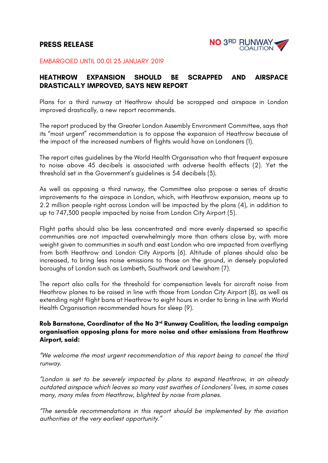# **PRESS RELEASE**



#### EMBARGOED UNTIL 00.01 23 JANUARY 2019

### **HEATHROW EXPANSION SHOULD BE SCRAPPED AND AIRSPACE DRASTICALLY IMPROVED, SAYS NEW REPORT**

Plans for a third runway at Heathrow should be scrapped and airspace in London improved drastically, a new report recommends.

The report produced by the Greater London Assembly Environment Committee, says that its "most urgent" recommendation is to oppose the expansion of Heathrow because of the impact of the increased numbers of flights would have on Londoners (1).

The report cites guidelines by the World Health Organisation who that frequent exposure to noise above 45 decibels is associated with adverse health effects (2). Yet the threshold set in the Government's guidelines is 54 decibels (3).

As well as opposing a third runway, the Committee also propose a series of drastic improvements to the airspace in London, which, with Heathrow expansion, means up to 2.2 million people right across London will be impacted by the plans (4), in addition to up to 747,300 people impacted by noise from London City Airport (5).

Flight paths should also be less concentrated and more evenly dispersed so specific communities are not impacted overwhelmingly more than others close by, with more weight given to communities in south and east London who are impacted from overflying from both Heathrow and London City Airports (6). Altitude of planes should also be increased, to bring less noise emissions to those on the ground, in densely populated boroughs of London such as Lambeth, Southwark and Lewisham (7).

The report also calls for the threshold for compensation levels for aircraft noise from Heathrow planes to be raised in line with those from London City Airport (8), as well as extending night flight bans at Heathrow to eight hours in order to bring in line with World Health Organisation recommended hours for sleep (9).

### **Rob Barnstone, Coordinator of the No 3rd Runway Coalition, the leading campaign organisation opposing plans for more noise and other emissions from Heathrow Airport, said:**

*"We welcome the most urgent recommendation of this report being to cancel the third runway.*

*"London is set to be severely impacted by plans to expand Heathrow, in an already outdated airspace which leaves so many vast swathes of Londoners' lives, in some cases many, many miles from Heathrow, blighted by noise from planes.*

*"The sensible recommendations in this report should be implemented by the aviation authorities at the very earliest opportunity."*